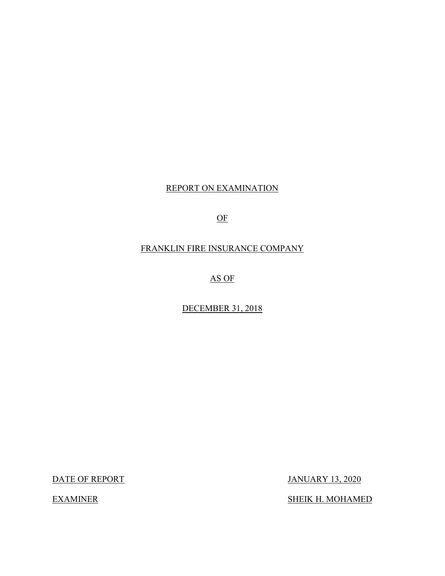# REPORT ON EXAMINATION

OF

# FRANKLIN FIRE INSURANCE COMPANY

AS OF

DECEMBER 31, 2018

DATE OF REPORT

**EXAMINER** 

JANUARY 13, 2020

SHEIK H. MOHAMED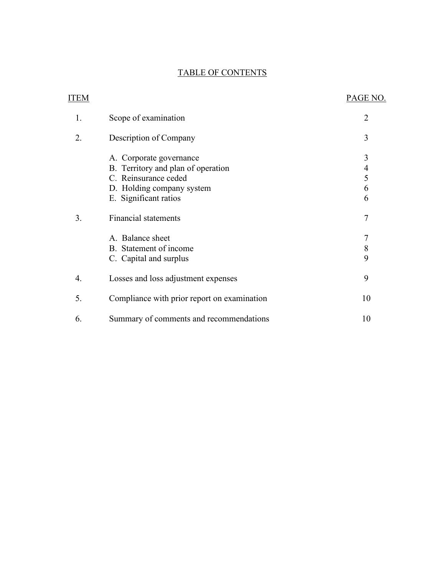# TABLE OF CONTENTS

| <b>ITEM</b> |                                             | PAGE NO.                 |
|-------------|---------------------------------------------|--------------------------|
| 1.          | Scope of examination                        | $\overline{2}$           |
| 2.          | Description of Company                      | 3                        |
|             | A. Corporate governance                     | 3                        |
|             | B. Territory and plan of operation          | $\overline{\mathcal{A}}$ |
|             | C. Reinsurance ceded                        | 5                        |
|             | D. Holding company system                   | 6                        |
|             | E. Significant ratios                       | 6                        |
| 3.          | <b>Financial statements</b>                 | 7                        |
|             | A. Balance sheet                            | 7                        |
|             | B. Statement of income                      | 8                        |
|             | C. Capital and surplus                      | 9                        |
| 4.          | Losses and loss adjustment expenses         | 9                        |
| 5.          | Compliance with prior report on examination | 10                       |
| 6.          | Summary of comments and recommendations     | 10                       |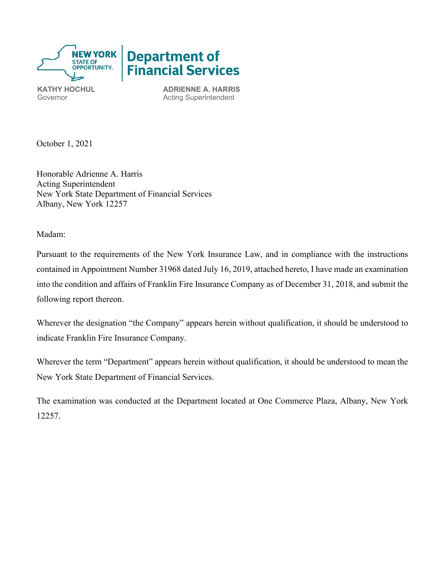

**KATHY HOCHUL ADRIENNE A. HARRIS** Governor **Acting Superintendent** 

October 1, 2021

Honorable Adrienne A. Harris Acting Superintendent New York State Department of Financial Services Albany, New York 12257

Madam:

 contained in Appointment Number 31968 dated July 16, 2019, attached hereto, I have made an examination Pursuant to the requirements of the New York Insurance Law, and in compliance with the instructions into the condition and affairs of Franklin Fire Insurance Company as of December 31, 2018, and submit the following report thereon.

Wherever the designation "the Company" appears herein without qualification, it should be understood to indicate Franklin Fire Insurance Company.

Wherever the term "Department" appears herein without qualification, it should be understood to mean the New York State Department of Financial Services.

The examination was conducted at the Department located at One Commerce Plaza, Albany, New York 12257.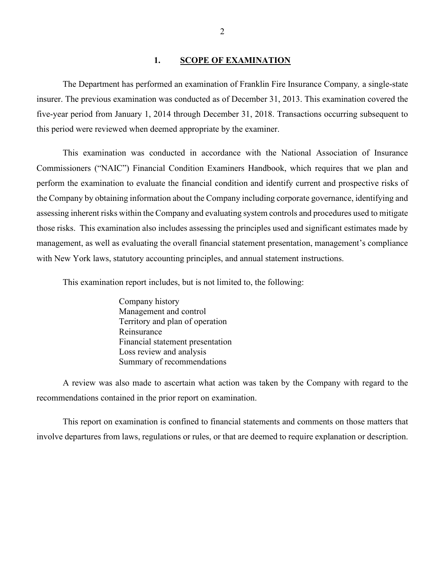#### **1. SCOPE OF EXAMINATION**

<span id="page-3-0"></span>The Department has performed an examination of Franklin Fire Insurance Company*,* a single-state insurer. The previous examination was conducted as of December 31, 2013. This examination covered the five-year period from January 1, 2014 through December 31, 2018. Transactions occurring subsequent to this period were reviewed when deemed appropriate by the examiner.

 those risks. This examination also includes assessing the principles used and significant estimates made by management, as well as evaluating the overall financial statement presentation, management's compliance with New York laws, statutory accounting principles, and annual statement instructions. This examination was conducted in accordance with the National Association of Insurance Commissioners ("NAIC") Financial Condition Examiners Handbook, which requires that we plan and perform the examination to evaluate the financial condition and identify current and prospective risks of the Company by obtaining information about the Company including corporate governance, identifying and assessing inherent risks within the Company and evaluating system controls and procedures used to mitigate

This examination report includes, but is not limited to, the following:

Company history Management and control Territory and plan of operation Reinsurance Financial statement presentation Loss review and analysis Summary of recommendations

recommendations contained in the prior report on examination. recommendations contained in the prior report on examination. This report on examination is confined to financial statements and comments on those matters that A review was also made to ascertain what action was taken by the Company with regard to the

involve departures from laws, regulations or rules, or that are deemed to require explanation or description.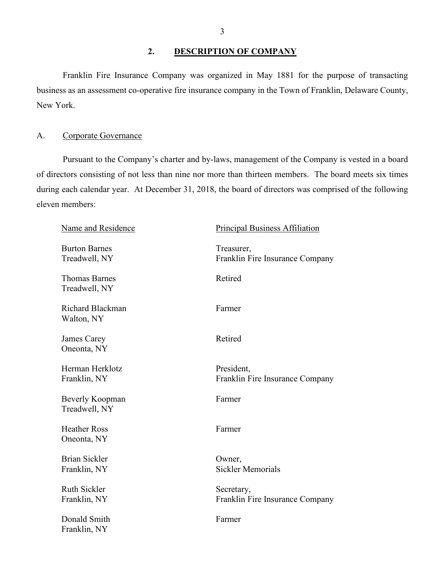# <span id="page-4-0"></span>**2. DESCRIPTION OF COMPANY**

 business as an assessment co-operative fire insurance company in the Town of Franklin, Delaware County, Franklin Fire Insurance Company was organized in May 1881 for the purpose of transacting New York.

#### <span id="page-4-1"></span>A. Corporate Governance

 eleven members: Pursuant to the Company's charter and by-laws, management of the Company is vested in a board of directors consisting of not less than nine nor more than thirteen members. The board meets six times during each calendar year. At December 31, 2018, the board of directors was comprised of the following

| Name and Residence                    | <b>Principal Business Affiliation</b>         |
|---------------------------------------|-----------------------------------------------|
| <b>Burton Barnes</b><br>Treadwell, NY | Treasurer,<br>Franklin Fire Insurance Company |
| <b>Thomas Barnes</b><br>Treadwell, NY | Retired                                       |
| <b>Richard Blackman</b><br>Walton, NY | Farmer                                        |
| James Carey<br>Oneonta, NY            | Retired                                       |
| Herman Herklotz<br>Franklin, NY       | President,<br>Franklin Fire Insurance Company |
| Beverly Koopman<br>Treadwell, NY      | Farmer                                        |
| <b>Heather Ross</b><br>Oneonta, NY    | Farmer                                        |
| <b>Brian Sickler</b><br>Franklin, NY  | Owner,<br><b>Sickler Memorials</b>            |
| <b>Ruth Sickler</b><br>Franklin, NY   | Secretary,<br>Franklin Fire Insurance Company |
| Donald Smith<br>Franklin, NY          | Farmer                                        |
|                                       |                                               |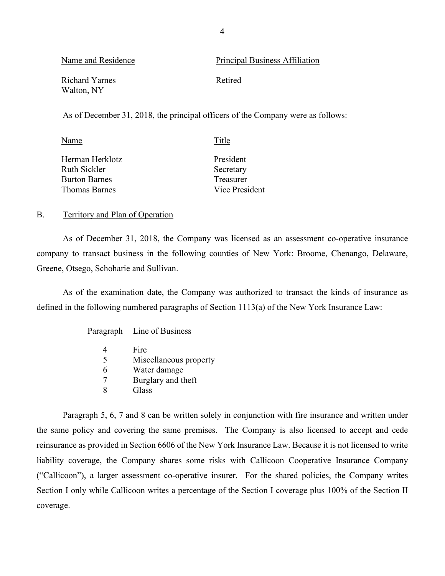| Name and Residence           | <b>Principal Business Affiliation</b> |
|------------------------------|---------------------------------------|
| Richard Yarnes<br>Walton, NY | Retired                               |

As of December 31, 2018, the principal officers of the Company were as follows:

| Title          |  |
|----------------|--|
| President      |  |
| Secretary      |  |
| Treasurer      |  |
| Vice President |  |
|                |  |

#### <span id="page-5-0"></span>B. Territory and Plan of Operation

As of December 31, 2018, the Company was licensed as an assessment co-operative insurance company to transact business in the following counties of New York: Broome, Chenango, Delaware, Greene, Otsego, Schoharie and Sullivan.

As of the examination date, the Company was authorized to transact the kinds of insurance as defined in the following numbered paragraphs of Section 1113(a) of the New York Insurance Law:

#### Paragraph Line of Business

| 4 | Fire                   |
|---|------------------------|
| 5 | Miscellaneous property |
| 6 | Water damage           |
| 7 | Burglary and theft     |
| x | Glass                  |

 reinsurance as provided in Section 6606 of the New York Insurance Law. Because it is not licensed to write Paragraph 5, 6, 7 and 8 can be written solely in conjunction with fire insurance and written under the same policy and covering the same premises. The Company is also licensed to accept and cede liability coverage, the Company shares some risks with Callicoon Cooperative Insurance Company ("Callicoon"), a larger assessment co-operative insurer. For the shared policies, the Company writes Section I only while Callicoon writes a percentage of the Section I coverage plus 100% of the Section II coverage.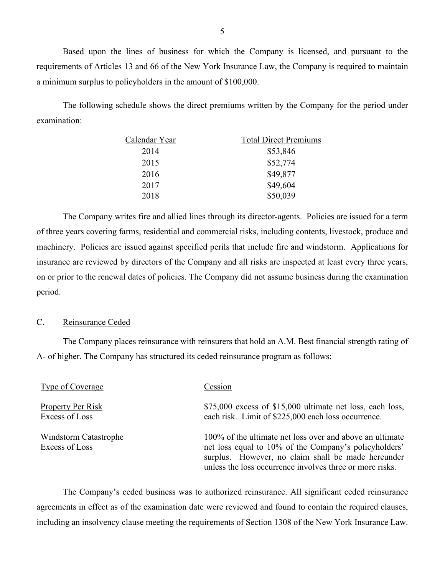Based upon the lines of business for which the Company is licensed, and pursuant to the a minimum surplus to policyholders in the amount of \$100,000. requirements of Articles 13 and 66 of the New York Insurance Law, the Company is required to maintain

The following schedule shows the direct premiums written by the Company for the period under examination:

| Calendar Year | <b>Total Direct Premiums</b> |  |  |
|---------------|------------------------------|--|--|
| 2014          | \$53,846                     |  |  |
| 2015          | \$52,774                     |  |  |
| 2016          | \$49,877                     |  |  |
| 2017          | \$49,604                     |  |  |
| 2018          | \$50,039                     |  |  |

 The Company writes fire and allied lines through its director-agents. Policies are issued for a term on or prior to the renewal dates of policies. The Company did not assume business during the examination of three years covering farms, residential and commercial risks, including contents, livestock, produce and machinery. Policies are issued against specified perils that include fire and windstorm. Applications for insurance are reviewed by directors of the Company and all risks are inspected at least every three years, period.

#### <span id="page-6-0"></span>C. Reinsurance Ceded

The Company places reinsurance with reinsurers that hold an A.M. Best financial strength rating of A- of higher. The Company has structured its ceded reinsurance program as follows:

| Type of Coverage                           | Cession                                                                                                                                                                                                                             |
|--------------------------------------------|-------------------------------------------------------------------------------------------------------------------------------------------------------------------------------------------------------------------------------------|
| <b>Property Per Risk</b><br>Excess of Loss | $$75,000$ excess of \$15,000 ultimate net loss, each loss,<br>each risk. Limit of \$225,000 each loss occurrence.                                                                                                                   |
| Windstorm Catastrophe<br>Excess of Loss    | 100% of the ultimate net loss over and above an ultimate<br>net loss equal to 10% of the Company's policyholders'<br>surplus. However, no claim shall be made hereunder<br>unless the loss occurrence involves three or more risks. |

The Company's ceded business was to authorized reinsurance. All significant ceded reinsurance agreements in effect as of the examination date were reviewed and found to contain the required clauses, including an insolvency clause meeting the requirements of Section 1308 of the New York Insurance Law.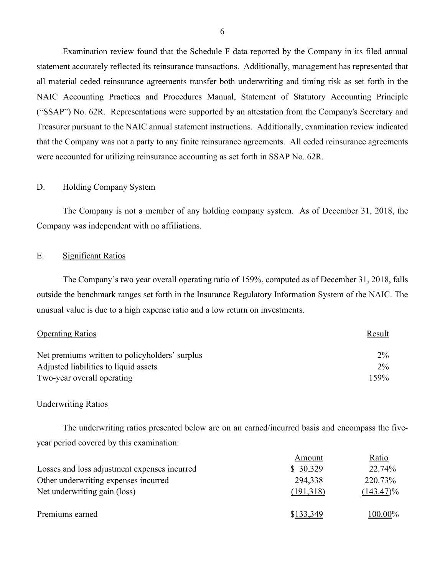Examination review found that the Schedule F data reported by the Company in its filed annual statement accurately reflected its reinsurance transactions. Additionally, management has represented that all material ceded reinsurance agreements transfer both underwriting and timing risk as set forth in the NAIC Accounting Practices and Procedures Manual, Statement of Statutory Accounting Principle ("SSAP") No. 62R. Representations were supported by an attestation from the Company's Secretary and Treasurer pursuant to the NAIC annual statement instructions. Additionally, examination review indicated that the Company was not a party to any finite reinsurance agreements. All ceded reinsurance agreements were accounted for utilizing reinsurance accounting as set forth in SSAP No. 62R.

#### <span id="page-7-0"></span>D. Holding Company System

 The Company is not a member of any holding company system. As of December 31, 2018, the Company was independent with no affiliations.

#### E. Significant Ratios

The Company's two year overall operating ratio of 159%, computed as of December 31, 2018, falls outside the benchmark ranges set forth in the Insurance Regulatory Information System of the NAIC. The unusual value is due to a high expense ratio and a low return on investments.

<span id="page-7-1"></span>

| <b>Operating Ratios</b>                        | Result |
|------------------------------------------------|--------|
| Net premiums written to policyholders' surplus | $2\%$  |
| Adjusted liabilities to liquid assets          | $2\%$  |
| Two-year overall operating                     | 159%   |

#### Underwriting Ratios

The underwriting ratios presented below are on an earned/incurred basis and encompass the fiveyear period covered by this examination:

|                                              | Amount    | Ratio        |
|----------------------------------------------|-----------|--------------|
| Losses and loss adjustment expenses incurred | \$30,329  | 22.74%       |
| Other underwriting expenses incurred         | 294,338   | 220.73%      |
| Net underwriting gain (loss)                 | (191,318) | $(143.47)\%$ |
| Premiums earned                              | \$133,349 | $100.00\%$   |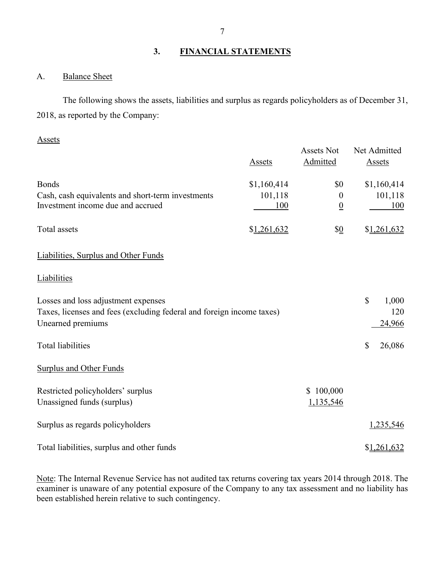# <span id="page-8-0"></span>**3. FINANCIAL STATEMENTS**

## <span id="page-8-1"></span>A. Balance Sheet

 2018, as reported by the Company: The following shows the assets, liabilities and surplus as regards policyholders as of December 31,

#### Assets

|                                                                       |               | <b>Assets Not</b> | Net Admitted           |
|-----------------------------------------------------------------------|---------------|-------------------|------------------------|
|                                                                       | <b>Assets</b> | Admitted          | <b>Assets</b>          |
| <b>Bonds</b>                                                          | \$1,160,414   | \$0               | \$1,160,414            |
| Cash, cash equivalents and short-term investments                     | 101,118       | $\boldsymbol{0}$  | 101,118                |
| Investment income due and accrued                                     | 100           | $\underline{0}$   | 100                    |
| Total assets                                                          | \$1,261,632   | $\frac{10}{2}$    | \$1,261,632            |
| Liabilities, Surplus and Other Funds                                  |               |                   |                        |
| Liabilities                                                           |               |                   |                        |
| Losses and loss adjustment expenses                                   |               |                   | $\mathbb{S}$<br>1,000  |
| Taxes, licenses and fees (excluding federal and foreign income taxes) |               |                   | 120                    |
| Unearned premiums                                                     |               |                   | 24,966                 |
| <b>Total liabilities</b>                                              |               |                   | $\mathbb{S}$<br>26,086 |
| <b>Surplus and Other Funds</b>                                        |               |                   |                        |
| Restricted policyholders' surplus                                     |               | \$100,000         |                        |
| Unassigned funds (surplus)                                            |               | 1,135,546         |                        |
| Surplus as regards policyholders                                      |               |                   | 1,235,546              |
| Total liabilities, surplus and other funds                            |               |                   | \$1,261,632            |

Note: The Internal Revenue Service has not audited tax returns covering tax years 2014 through 2018. The examiner is unaware of any potential exposure of the Company to any tax assessment and no liability has been established herein relative to such contingency.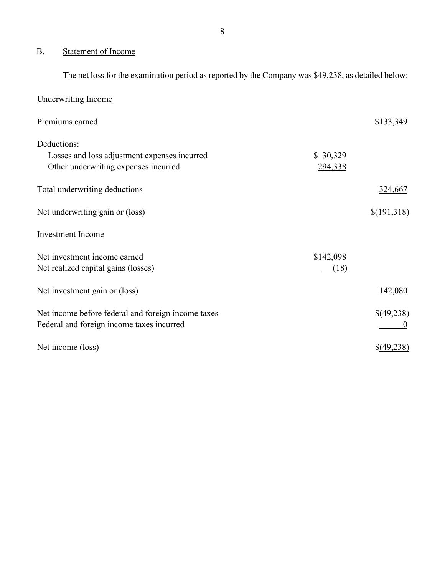# <span id="page-9-0"></span>B. Statement of Income

The net loss for the examination period as reported by the Company was \$49,238, as detailed below:

| <b>Underwriting Income</b>                         |           |               |
|----------------------------------------------------|-----------|---------------|
| Premiums earned                                    |           | \$133,349     |
| Deductions:                                        |           |               |
| Losses and loss adjustment expenses incurred       | \$30,329  |               |
| Other underwriting expenses incurred               | 294,338   |               |
| Total underwriting deductions                      |           | 324,667       |
| Net underwriting gain or (loss)                    |           | \$(191,318)   |
| <b>Investment Income</b>                           |           |               |
| Net investment income earned                       | \$142,098 |               |
| Net realized capital gains (losses)                | (18)      |               |
| Net investment gain or (loss)                      |           | 142,080       |
| Net income before federal and foreign income taxes |           | \$(49,238)    |
| Federal and foreign income taxes incurred          |           |               |
| Net income (loss)                                  |           | $\S(49, 238)$ |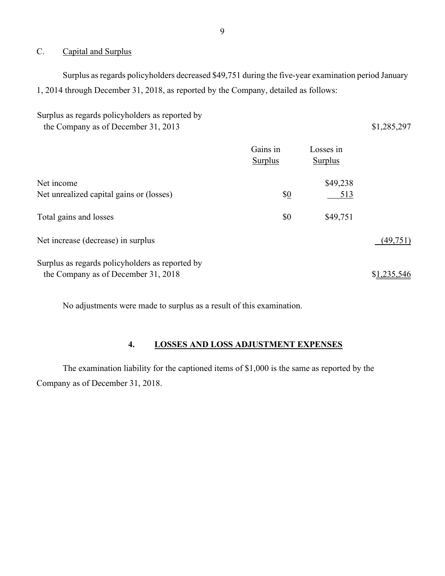#### <span id="page-10-0"></span>C. Capital and Surplus

Surplus as regards policyholders decreased \$49,751 during the five-year examination period January 1, 2014 through December 31, 2018, as reported by the Company, detailed as follows:

Surplus as regards policyholders as reported by the Company as of December 31, 2013 \$1,285,297

|                                                                                        | Gains in<br><b>Surplus</b> | Losses in<br><b>Surplus</b> |             |
|----------------------------------------------------------------------------------------|----------------------------|-----------------------------|-------------|
| Net income<br>Net unrealized capital gains or (losses)                                 | \$0                        | \$49,238<br>513             |             |
| Total gains and losses                                                                 | \$0                        | \$49,751                    |             |
| Net increase (decrease) in surplus                                                     |                            |                             | (49, 751)   |
| Surplus as regards policyholders as reported by<br>the Company as of December 31, 2018 |                            |                             | \$1,235,546 |

No adjustments were made to surplus as a result of this examination.

### **4. LOSSES AND LOSS ADJUSTMENT EXPENSES**

<span id="page-10-1"></span>The examination liability for the captioned items of \$1,000 is the same as reported by the Company as of December 31, 2018.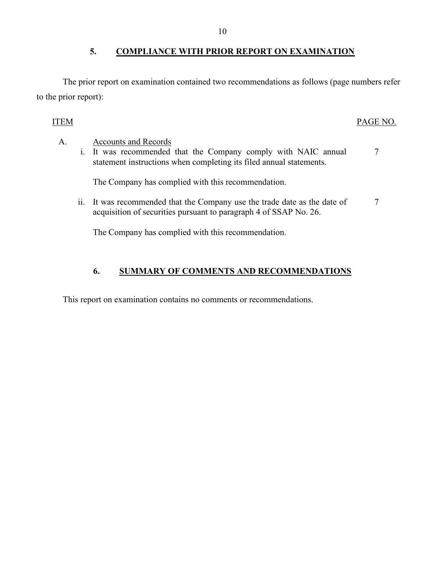# <span id="page-11-0"></span>**5. COMPLIANCE WITH PRIOR REPORT ON EXAMINATION**

The prior report on examination contained two recommendations as follows (page numbers refer to the prior report):

# ITEM PAGE NO.

| A. | <b>Accounts and Records</b><br>i. It was recommended that the Company comply with NAIC annual<br>statement instructions when completing its filed annual statements. |  |
|----|----------------------------------------------------------------------------------------------------------------------------------------------------------------------|--|
|    | The Company has complied with this recommendation.                                                                                                                   |  |
|    | ii. It was recommended that the Company use the trade date as the date of<br>acquisition of securities pursuant to paragraph 4 of SSAP No. 26.                       |  |
|    | The Company has complied with this recommendation.                                                                                                                   |  |

# **6. SUMMARY OF COMMENTS AND RECOMMENDATIONS**

<span id="page-11-1"></span>This report on examination contains no comments or recommendations.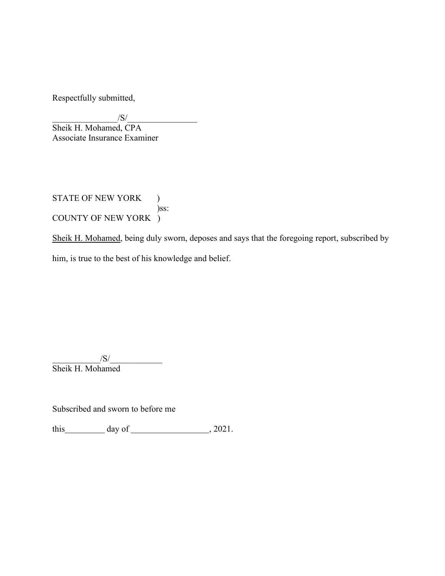Respectfully submitted,

 $|S|$ 

 Associate Insurance Examiner Sheik H. Mohamed, CPA

STATE OF NEW YORK ) )ss: COUNTY OF NEW YORK )

Sheik H. Mohamed, being duly sworn, deposes and says that the foregoing report, subscribed by him, is true to the best of his knowledge and belief.

 $\sqrt{S}/\sqrt{S}$ Sheik H. Mohamed

Subscribed and sworn to before me

this  $\qquad \qquad \text{day of} \qquad \qquad .2021.$